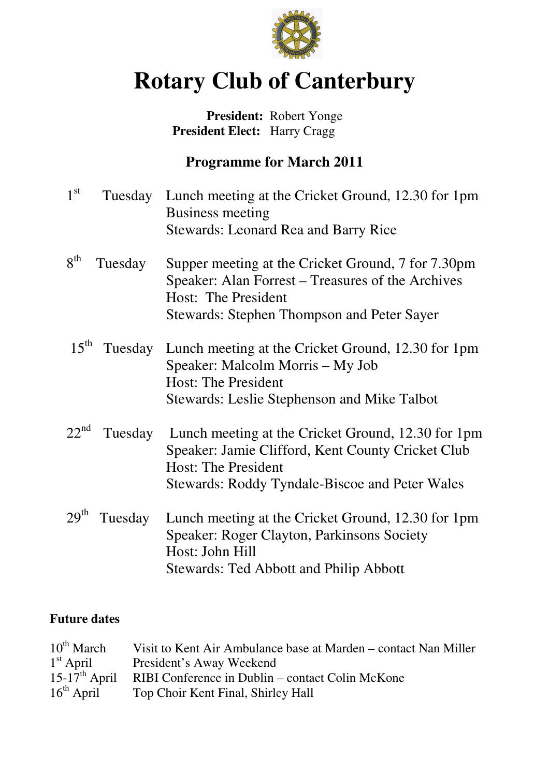

# **Rotary Club of Canterbury**

## **President:** Robert Yonge  **President Elect:** Harry Cragg

# **Programme for March 2011**

| 1 <sup>st</sup>  |         | Tuesday Lunch meeting at the Cricket Ground, 12.30 for 1pm<br><b>Business meeting</b>                                                 |
|------------------|---------|---------------------------------------------------------------------------------------------------------------------------------------|
|                  |         | <b>Stewards: Leonard Rea and Barry Rice</b>                                                                                           |
| 8 <sup>th</sup>  | Tuesday | Supper meeting at the Cricket Ground, 7 for 7.30pm<br>Speaker: Alan Forrest – Treasures of the Archives<br>Host: The President        |
|                  |         | <b>Stewards: Stephen Thompson and Peter Sayer</b>                                                                                     |
| $15^{\text{th}}$ | Tuesday | Lunch meeting at the Cricket Ground, 12.30 for 1pm<br>Speaker: Malcolm Morris – My Job<br><b>Host: The President</b>                  |
|                  |         | Stewards: Leslie Stephenson and Mike Talbot                                                                                           |
| $22^{nd}$        | Tuesday | Lunch meeting at the Cricket Ground, 12.30 for 1pm<br>Speaker: Jamie Clifford, Kent County Cricket Club<br><b>Host: The President</b> |
|                  |         | Stewards: Roddy Tyndale-Biscoe and Peter Wales                                                                                        |
| 29 <sup>th</sup> | Tuesday | Lunch meeting at the Cricket Ground, 12.30 for 1pm<br>Speaker: Roger Clayton, Parkinsons Society<br>Host: John Hill                   |
|                  |         | <b>Stewards: Ted Abbott and Philip Abbott</b>                                                                                         |

### **Future dates**

| $10^{th}$ March           | Visit to Kent Air Ambulance base at Marden – contact Nan Miller |
|---------------------------|-----------------------------------------------------------------|
| $1st$ April               | President's Away Weekend                                        |
| $15-17^{\text{th}}$ April | RIBI Conference in Dublin – contact Colin McKone                |
| $16th$ April              | Top Choir Kent Final, Shirley Hall                              |